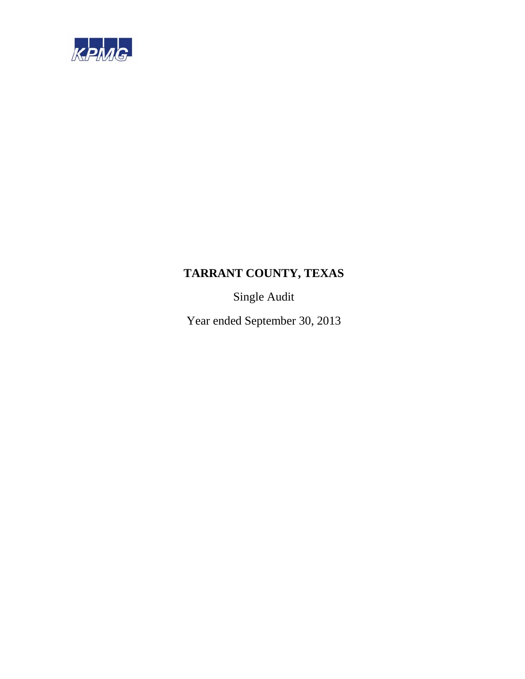

Single Audit

Year ended September 30, 2013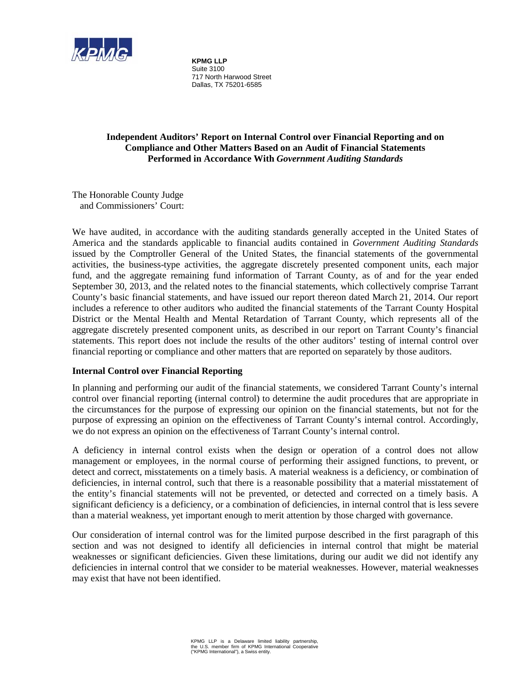

**KPMG LLP**  Suite 3100 717 North Harwood Street Dallas, TX 75201-6585

# **Independent Auditors' Report on Internal Control over Financial Reporting and on Compliance and Other Matters Based on an Audit of Financial Statements Performed in Accordance With** *Government Auditing Standards*

The Honorable County Judge and Commissioners' Court:

We have audited, in accordance with the auditing standards generally accepted in the United States of America and the standards applicable to financial audits contained in *Government Auditing Standards* issued by the Comptroller General of the United States, the financial statements of the governmental activities, the business-type activities, the aggregate discretely presented component units, each major fund, and the aggregate remaining fund information of Tarrant County, as of and for the year ended September 30, 2013, and the related notes to the financial statements, which collectively comprise Tarrant County's basic financial statements, and have issued our report thereon dated March 21, 2014. Our report includes a reference to other auditors who audited the financial statements of the Tarrant County Hospital District or the Mental Health and Mental Retardation of Tarrant County, which represents all of the aggregate discretely presented component units, as described in our report on Tarrant County's financial statements. This report does not include the results of the other auditors' testing of internal control over financial reporting or compliance and other matters that are reported on separately by those auditors.

#### **Internal Control over Financial Reporting**

In planning and performing our audit of the financial statements, we considered Tarrant County's internal control over financial reporting (internal control) to determine the audit procedures that are appropriate in the circumstances for the purpose of expressing our opinion on the financial statements, but not for the purpose of expressing an opinion on the effectiveness of Tarrant County's internal control. Accordingly, we do not express an opinion on the effectiveness of Tarrant County's internal control.

A deficiency in internal control exists when the design or operation of a control does not allow management or employees, in the normal course of performing their assigned functions, to prevent, or detect and correct, misstatements on a timely basis. A material weakness is a deficiency, or combination of deficiencies, in internal control, such that there is a reasonable possibility that a material misstatement of the entity's financial statements will not be prevented, or detected and corrected on a timely basis. A significant deficiency is a deficiency, or a combination of deficiencies, in internal control that is less severe than a material weakness, yet important enough to merit attention by those charged with governance.

Our consideration of internal control was for the limited purpose described in the first paragraph of this section and was not designed to identify all deficiencies in internal control that might be material weaknesses or significant deficiencies. Given these limitations, during our audit we did not identify any deficiencies in internal control that we consider to be material weaknesses. However, material weaknesses may exist that have not been identified.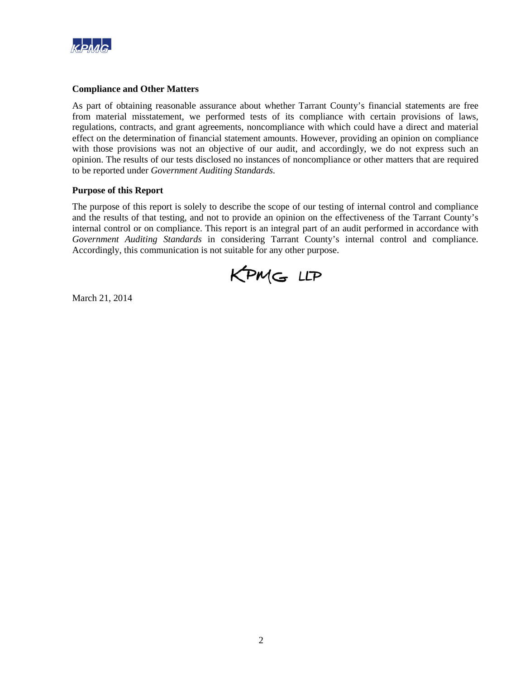

#### **Compliance and Other Matters**

As part of obtaining reasonable assurance about whether Tarrant County's financial statements are free from material misstatement, we performed tests of its compliance with certain provisions of laws, regulations, contracts, and grant agreements, noncompliance with which could have a direct and material effect on the determination of financial statement amounts. However, providing an opinion on compliance with those provisions was not an objective of our audit, and accordingly, we do not express such an opinion. The results of our tests disclosed no instances of noncompliance or other matters that are required to be reported under *Government Auditing Standards*.

#### **Purpose of this Report**

The purpose of this report is solely to describe the scope of our testing of internal control and compliance and the results of that testing, and not to provide an opinion on the effectiveness of the Tarrant County's internal control or on compliance. This report is an integral part of an audit performed in accordance with *Government Auditing Standards* in considering Tarrant County's internal control and compliance. Accordingly, this communication is not suitable for any other purpose.

KPMG LLP

March 21, 2014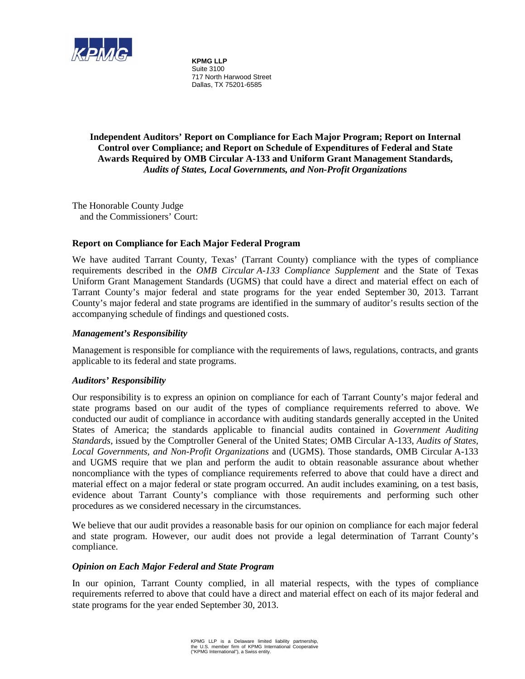

**KPMG LLP**  Suite 3100 717 North Harwood Street Dallas, TX 75201-6585

**Independent Auditors' Report on Compliance for Each Major Program; Report on Internal Control over Compliance; and Report on Schedule of Expenditures of Federal and State Awards Required by OMB Circular A-133 and Uniform Grant Management Standards,** *Audits of States, Local Governments, and Non-Profit Organizations*

The Honorable County Judge and the Commissioners' Court:

# **Report on Compliance for Each Major Federal Program**

We have audited Tarrant County, Texas' (Tarrant County) compliance with the types of compliance requirements described in the *OMB Circular A-133 Compliance Supplement* and the State of Texas Uniform Grant Management Standards (UGMS) that could have a direct and material effect on each of Tarrant County's major federal and state programs for the year ended September 30, 2013. Tarrant County's major federal and state programs are identified in the summary of auditor's results section of the accompanying schedule of findings and questioned costs.

#### *Management's Responsibility*

Management is responsible for compliance with the requirements of laws, regulations, contracts, and grants applicable to its federal and state programs.

#### *Auditors' Responsibility*

Our responsibility is to express an opinion on compliance for each of Tarrant County's major federal and state programs based on our audit of the types of compliance requirements referred to above. We conducted our audit of compliance in accordance with auditing standards generally accepted in the United States of America; the standards applicable to financial audits contained in *Government Auditing Standards*, issued by the Comptroller General of the United States; OMB Circular A-133, *Audits of States, Local Governments, and Non-Profit Organizations* and (UGMS). Those standards, OMB Circular A-133 and UGMS require that we plan and perform the audit to obtain reasonable assurance about whether noncompliance with the types of compliance requirements referred to above that could have a direct and material effect on a major federal or state program occurred. An audit includes examining, on a test basis, evidence about Tarrant County's compliance with those requirements and performing such other procedures as we considered necessary in the circumstances.

We believe that our audit provides a reasonable basis for our opinion on compliance for each major federal and state program. However, our audit does not provide a legal determination of Tarrant County's compliance.

#### *Opinion on Each Major Federal and State Program*

In our opinion, Tarrant County complied, in all material respects, with the types of compliance requirements referred to above that could have a direct and material effect on each of its major federal and state programs for the year ended September 30, 2013.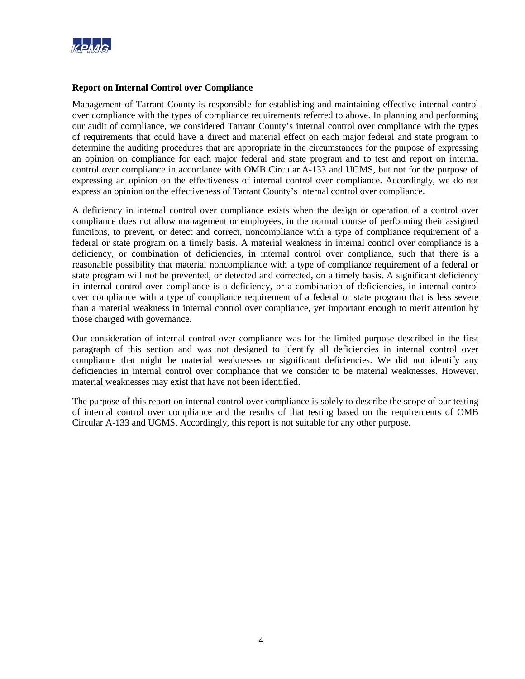

#### **Report on Internal Control over Compliance**

Management of Tarrant County is responsible for establishing and maintaining effective internal control over compliance with the types of compliance requirements referred to above. In planning and performing our audit of compliance, we considered Tarrant County's internal control over compliance with the types of requirements that could have a direct and material effect on each major federal and state program to determine the auditing procedures that are appropriate in the circumstances for the purpose of expressing an opinion on compliance for each major federal and state program and to test and report on internal control over compliance in accordance with OMB Circular A-133 and UGMS, but not for the purpose of expressing an opinion on the effectiveness of internal control over compliance. Accordingly, we do not express an opinion on the effectiveness of Tarrant County's internal control over compliance.

A deficiency in internal control over compliance exists when the design or operation of a control over compliance does not allow management or employees, in the normal course of performing their assigned functions, to prevent, or detect and correct, noncompliance with a type of compliance requirement of a federal or state program on a timely basis. A material weakness in internal control over compliance is a deficiency, or combination of deficiencies, in internal control over compliance, such that there is a reasonable possibility that material noncompliance with a type of compliance requirement of a federal or state program will not be prevented, or detected and corrected, on a timely basis. A significant deficiency in internal control over compliance is a deficiency, or a combination of deficiencies, in internal control over compliance with a type of compliance requirement of a federal or state program that is less severe than a material weakness in internal control over compliance, yet important enough to merit attention by those charged with governance.

Our consideration of internal control over compliance was for the limited purpose described in the first paragraph of this section and was not designed to identify all deficiencies in internal control over compliance that might be material weaknesses or significant deficiencies. We did not identify any deficiencies in internal control over compliance that we consider to be material weaknesses. However, material weaknesses may exist that have not been identified.

The purpose of this report on internal control over compliance is solely to describe the scope of our testing of internal control over compliance and the results of that testing based on the requirements of OMB Circular A-133 and UGMS. Accordingly, this report is not suitable for any other purpose.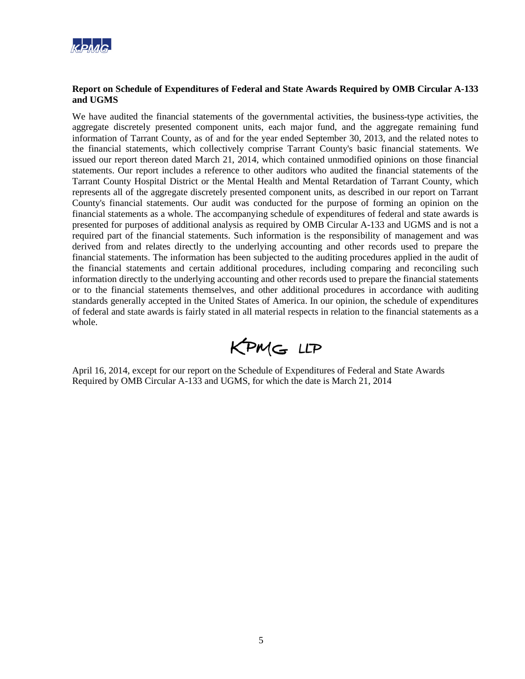

#### **Report on Schedule of Expenditures of Federal and State Awards Required by OMB Circular A-133 and UGMS**

We have audited the financial statements of the governmental activities, the business-type activities, the aggregate discretely presented component units, each major fund, and the aggregate remaining fund information of Tarrant County, as of and for the year ended September 30, 2013, and the related notes to the financial statements, which collectively comprise Tarrant County's basic financial statements. We issued our report thereon dated March 21, 2014, which contained unmodified opinions on those financial statements. Our report includes a reference to other auditors who audited the financial statements of the Tarrant County Hospital District or the Mental Health and Mental Retardation of Tarrant County, which represents all of the aggregate discretely presented component units, as described in our report on Tarrant County's financial statements. Our audit was conducted for the purpose of forming an opinion on the financial statements as a whole. The accompanying schedule of expenditures of federal and state awards is presented for purposes of additional analysis as required by OMB Circular A-133 and UGMS and is not a required part of the financial statements. Such information is the responsibility of management and was derived from and relates directly to the underlying accounting and other records used to prepare the financial statements. The information has been subjected to the auditing procedures applied in the audit of the financial statements and certain additional procedures, including comparing and reconciling such information directly to the underlying accounting and other records used to prepare the financial statements or to the financial statements themselves, and other additional procedures in accordance with auditing standards generally accepted in the United States of America. In our opinion, the schedule of expenditures of federal and state awards is fairly stated in all material respects in relation to the financial statements as a whole.

KPMG LLP

April 16, 2014, except for our report on the Schedule of Expenditures of Federal and State Awards Required by OMB Circular A-133 and UGMS, for which the date is March 21, 2014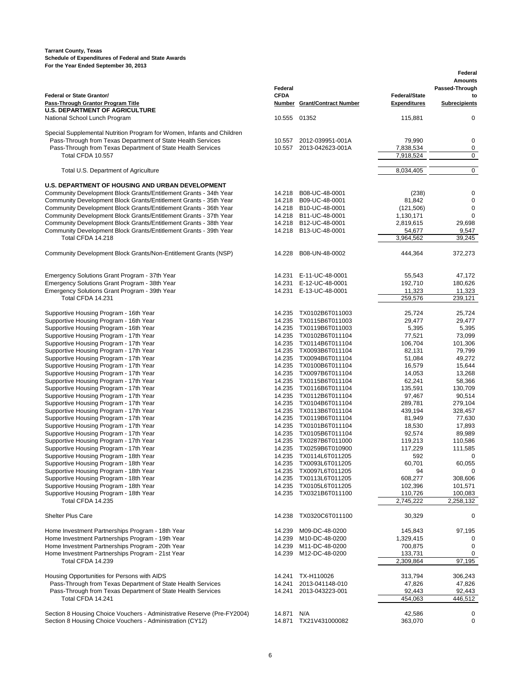#### **Tarrant County, Texas Schedule of Expenditures of Federal and State Awards For the Year Ended September 30, 2013**

|                                                                                                |                        |                                    |                      | <b>Amounts</b>       |
|------------------------------------------------------------------------------------------------|------------------------|------------------------------------|----------------------|----------------------|
| Federal or State Grantor/                                                                      | Federal<br><b>CFDA</b> |                                    | <b>Federal/State</b> | Passed-Through<br>to |
| Pass-Through Grantor Program Title                                                             |                        | Number Grant/Contract Number       | <b>Expenditures</b>  | <b>Subrecipients</b> |
| <b>U.S. DEPARTMENT OF AGRICULTURE</b>                                                          |                        |                                    |                      |                      |
| National School Lunch Program                                                                  | 10.555                 | 01352                              | 115,881              | 0                    |
| Special Supplemental Nutrition Program for Women, Infants and Children                         |                        |                                    |                      |                      |
| Pass-Through from Texas Department of State Health Services                                    | 10.557                 | 2012-039951-001A                   | 79,990               | 0                    |
| Pass-Through from Texas Department of State Health Services                                    | 10.557                 | 2013-042623-001A                   | 7,838,534            | 0                    |
| Total CFDA 10.557                                                                              |                        |                                    | 7,918,524            | $\overline{0}$       |
| Total U.S. Department of Agriculture                                                           |                        |                                    | 8,034,405            | 0                    |
| <b>U.S. DEPARTMENT OF HOUSING AND URBAN DEVELOPMENT</b>                                        |                        |                                    |                      |                      |
| Community Development Block Grants/Entitlement Grants - 34th Year                              | 14.218                 | B08-UC-48-0001                     | (238)                | 0                    |
| Community Development Block Grants/Entitlement Grants - 35th Year                              | 14.218                 | B09-UC-48-0001                     | 81,842               | 0                    |
| Community Development Block Grants/Entitlement Grants - 36th Year                              | 14.218                 | B10-UC-48-0001                     | (121, 506)           | 0                    |
| Community Development Block Grants/Entitlement Grants - 37th Year                              | 14.218                 | B11-UC-48-0001                     | 1,130,171            | $\mathbf 0$          |
| Community Development Block Grants/Entitlement Grants - 38th Year                              | 14.218                 | B12-UC-48-0001                     | 2,819,615            | 29,698               |
| Community Development Block Grants/Entitlement Grants - 39th Year                              | 14.218                 | B13-UC-48-0001                     | 54,677               | 9,547                |
| Total CFDA 14.218                                                                              |                        |                                    | 3,964,562            | 39,245               |
| Community Development Block Grants/Non-Entitlement Grants (NSP)                                | 14.228                 | B08-UN-48-0002                     | 444,364              | 372,273              |
|                                                                                                |                        | E-11-UC-48-0001                    |                      |                      |
| Emergency Solutions Grant Program - 37th Year<br>Emergency Solutions Grant Program - 38th Year | 14.231<br>14.231       | E-12-UC-48-0001                    | 55,543<br>192,710    | 47,172<br>180,626    |
| Emergency Solutions Grant Program - 39th Year                                                  | 14.231                 | E-13-UC-48-0001                    | 11,323               | 11,323               |
| Total CFDA 14.231                                                                              |                        |                                    | 259,576              | 239,121              |
|                                                                                                |                        |                                    |                      |                      |
| Supportive Housing Program - 16th Year                                                         | 14.235                 | TX0102B6T011003                    | 25,724               | 25,724               |
| Supportive Housing Program - 16th Year                                                         | 14.235<br>14.235       | TX0115B6T011003<br>TX0119B6T011003 | 29,477<br>5,395      | 29,477<br>5,395      |
| Supportive Housing Program - 16th Year                                                         | 14.235                 | TX0102B6T011104                    | 77,521               | 73,099               |
| Supportive Housing Program - 17th Year<br>Supportive Housing Program - 17th Year               | 14.235                 | TX0114B6T011104                    | 106,704              | 101,306              |
| Supportive Housing Program - 17th Year                                                         | 14.235                 | TX0093B6T011104                    | 82,131               | 79,799               |
| Supportive Housing Program - 17th Year                                                         | 14.235                 | TX0094B6T011104                    | 51,084               | 49,272               |
| Supportive Housing Program - 17th Year                                                         | 14.235                 | TX0100B6T011104                    | 16,579               | 15,644               |
| Supportive Housing Program - 17th Year                                                         | 14.235                 | TX0097B6T011104                    | 14,053               | 13,268               |
| Supportive Housing Program - 17th Year                                                         | 14.235                 | TX0115B6T011104                    | 62,241               | 58,366               |
| Supportive Housing Program - 17th Year                                                         | 14.235                 | TX0116B6T011104                    | 135,591              | 130,709              |
| Supportive Housing Program - 17th Year                                                         | 14.235                 | TX0112B6T011104                    | 97,467               | 90,514               |
| Supportive Housing Program - 17th Year                                                         | 14.235                 | TX0104B6T011104                    | 289,781              | 279,104              |
| Supportive Housing Program - 17th Year                                                         | 14.235                 | TX0113B6T011104                    | 439,194              | 328,457              |
| Supportive Housing Program - 17th Year                                                         | 14.235                 | TX0119B6T011104                    | 81,949               | 77,630               |
| Supportive Housing Program - 17th Year                                                         | 14.235                 | TX0101B6T011104                    | 18,530               | 17,893               |
| Supportive Housing Program - 17th Year                                                         | 14.235                 | TX0105B6T011104                    | 92,574               | 89,989               |
| Supportive Housing Program - 17th Year                                                         | 14.235                 | TX0287B6T011000                    | 119,213              | 110,586              |
| Supportive Housing Program - 17th Year                                                         | 14.235                 | TX0259B6T010900                    | 117,229              | 111,585              |
| Supportive Housing Program - 18th Year                                                         | 14.235                 | TX0114L6T011205                    | 592                  | 0                    |
| Supportive Housing Program - 18th Year                                                         | 14.235                 | IX0093L61011205                    | 60,701               | 60,055               |
| Supportive Housing Program - 18th Year                                                         | 14.235                 | TX0097L6T011205                    | 94                   | 0                    |
| Supportive Housing Program - 18th Year                                                         | 14.235                 | TX0113L6T011205                    | 608,277              | 308,606              |
| Supportive Housing Program - 18th Year                                                         | 14.235                 | TX0105L6T011205                    | 102,396              | 101,571<br>100,083   |
| Supportive Housing Program - 18th Year<br>Total CFDA 14.235                                    | 14.235                 | TX0321B6T011100                    | 110,726<br>2,745,222 | 2,258,132            |
| <b>Shelter Plus Care</b>                                                                       | 14.238                 | TX0320C6T011100                    | 30,329               | 0                    |
| Home Investment Partnerships Program - 18th Year                                               | 14.239                 | M09-DC-48-0200                     | 145,843              | 97,195               |
| Home Investment Partnerships Program - 19th Year                                               | 14.239                 | M10-DC-48-0200                     | 1,329,415            | 0                    |
| Home Investment Partnerships Program - 20th Year                                               | 14.239                 | M11-DC-48-0200                     | 700,875              | 0                    |
| Home Investment Partnerships Program - 21st Year                                               | 14.239                 | M12-DC-48-0200                     | 133,731              | 0                    |
| Total CFDA 14.239                                                                              |                        |                                    | 2,309,864            | 97,195               |
| Housing Opportunities for Persons with AIDS                                                    | 14.241                 | TX-H110026                         | 313,794              | 306,243              |
| Pass-Through from Texas Department of State Health Services                                    | 14.241                 | 2013-041148-010                    | 47,826               | 47,826               |
| Pass-Through from Texas Department of State Health Services                                    | 14.241                 | 2013-043223-001                    | 92,443               | 92,443               |
| Total CFDA 14.241                                                                              |                        |                                    | 454,063              | 446,512              |
|                                                                                                |                        |                                    |                      |                      |
| Section 8 Housing Choice Vouchers - Administrative Reserve (Pre-FY2004)                        | 14.871                 | N/A                                | 42,586               | 0                    |
| Section 8 Housing Choice Vouchers - Administration (CY12)                                      | 14.871                 | TX21V431000082                     | 363,070              | 0                    |

**Federal**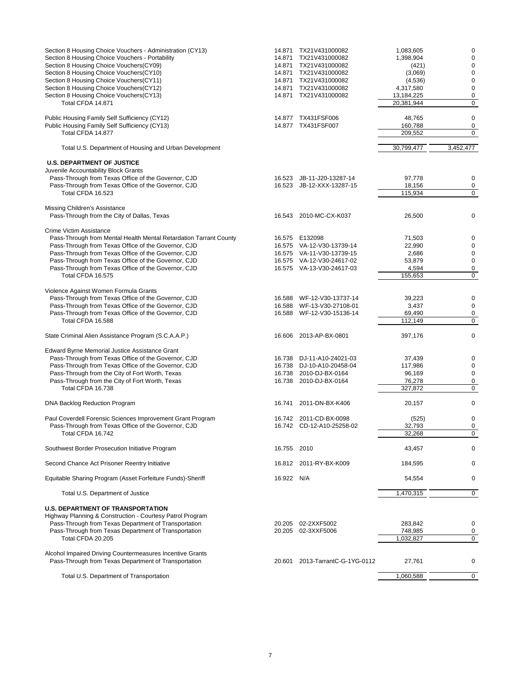| Section 8 Housing Choice Vouchers - Administration (CY13)<br>Section 8 Housing Choice Vouchers - Portability<br>Section 8 Housing Choice Vouchers(CY09)<br>Section 8 Housing Choice Vouchers(CY10)<br>Section 8 Housing Choice Vouchers(CY11)<br>Section 8 Housing Choice Vouchers(CY12)<br>Section 8 Housing Choice Vouchers(CY13)<br>Total CFDA 14.871 | 14.871<br>14.871<br>14.871<br>14.871<br>14.871<br>14.871<br>14.871 | TX21V431000082<br>TX21V431000082<br>TX21V431000082<br>TX21V431000082<br>TX21V431000082<br>TX21V431000082<br>TX21V431000082  | 1,083,605<br>1,398,904<br>(421)<br>(3,069)<br>(4,536)<br>4,317,580<br>13,184,225<br>20,381,944 | 0<br>0<br>0<br>0<br>0<br>0<br>0<br>0 |
|----------------------------------------------------------------------------------------------------------------------------------------------------------------------------------------------------------------------------------------------------------------------------------------------------------------------------------------------------------|--------------------------------------------------------------------|-----------------------------------------------------------------------------------------------------------------------------|------------------------------------------------------------------------------------------------|--------------------------------------|
| Public Housing Family Self Sufficiency (CY12)<br>Public Housing Family Self Sufficiency (CY13)<br>Total CFDA 14.877                                                                                                                                                                                                                                      |                                                                    | 14.877 TX431FSF006<br>14.877 TX431FSF007                                                                                    | 48,765<br>160,788<br>209,552                                                                   | 0<br>0<br>$\mathbf 0$                |
| Total U.S. Department of Housing and Urban Development                                                                                                                                                                                                                                                                                                   |                                                                    |                                                                                                                             | 30,799,477                                                                                     | 3,452,477                            |
| <b>U.S. DEPARTMENT OF JUSTICE</b><br>Juvenile Accountability Block Grants<br>Pass-Through from Texas Office of the Governor, CJD<br>Pass-Through from Texas Office of the Governor, CJD                                                                                                                                                                  | 16.523<br>16.523                                                   | JB-11-J20-13287-14<br>JB-12-XXX-13287-15                                                                                    | 97,778<br>18,156                                                                               | 0<br>0                               |
| Total CFDA 16.523                                                                                                                                                                                                                                                                                                                                        |                                                                    |                                                                                                                             | 115,934                                                                                        | 0                                    |
| Missing Children's Assistance<br>Pass-Through from the City of Dallas, Texas                                                                                                                                                                                                                                                                             |                                                                    | 16.543 2010-MC-CX-K037                                                                                                      | 26,500                                                                                         | 0                                    |
| Crime Victim Assistance<br>Pass-Through from Mental Health Mental Retardation Tarrant County<br>Pass-Through from Texas Office of the Governor, CJD<br>Pass-Through from Texas Office of the Governor, CJD<br>Pass-Through from Texas Office of the Governor, CJD<br>Pass-Through from Texas Office of the Governor, CJD<br>Total CFDA 16.575            | 16.575                                                             | 16.575 E132098<br>VA-12-V30-13739-14<br>16.575 VA-11-V30-13739-15<br>16.575 VA-12-V30-24617-02<br>16.575 VA-13-V30-24617-03 | 71,503<br>22,990<br>2,686<br>53,879<br>4,594<br>155,653                                        | 0<br>0<br>0<br>0<br>0<br>0           |
| Violence Against Women Formula Grants<br>Pass-Through from Texas Office of the Governor, CJD<br>Pass-Through from Texas Office of the Governor, CJD<br>Pass-Through from Texas Office of the Governor, CJD<br>Total CFDA 16.588                                                                                                                          | 16.588<br>16.588<br>16.588                                         | WF-12-V30-13737-14<br>WF-13-V30-27108-01<br>WF-12-V30-15136-14                                                              | 39,223<br>3,437<br>69,490<br>112,149                                                           | 0<br>$\pmb{0}$<br>0<br>0             |
| State Criminal Alien Assistance Program (S.C.A.A.P.)                                                                                                                                                                                                                                                                                                     | 16.606                                                             | 2013-AP-BX-0801                                                                                                             | 397,176                                                                                        | 0                                    |
| Edward Byrne Memorial Justice Assistance Grant<br>Pass-Through from Texas Office of the Governor, CJD<br>Pass-Through from Texas Office of the Governor, CJD<br>Pass-Through from the City of Fort Worth, Texas<br>Pass-Through from the City of Fort Worth, Texas<br>Total CFDA 16.738                                                                  | 16.738<br>16.738<br>16.738<br>16.738                               | DJ-11-A10-24021-03<br>DJ-10-A10-20458-04<br>2010-DJ-BX-0164<br>2010-DJ-BX-0164                                              | 37,439<br>117,986<br>96,169<br>76,278<br>327,872                                               | 0<br>0<br>0<br>0<br>0                |
| DNA Backlog Reduction Program                                                                                                                                                                                                                                                                                                                            | 16.741                                                             | 2011-DN-BX-K406                                                                                                             | 20,157                                                                                         | 0                                    |
| Paul Coverdell Forensic Sciences Improvement Grant Program<br>Pass-Through from Texas Office of the Governor, CJD<br>Total CFDA 16.742                                                                                                                                                                                                                   |                                                                    | 16.742 2011-CD-BX-0098<br>16.742 CD-12-A10-25258-02                                                                         | (525)<br>32,793<br>32,268                                                                      | 0<br>0<br>0                          |
| Southwest Border Prosecution Initiative Program                                                                                                                                                                                                                                                                                                          | 16.755 2010                                                        |                                                                                                                             | 43,457                                                                                         | 0                                    |
| Second Chance Act Prisoner Reentry Initiative                                                                                                                                                                                                                                                                                                            |                                                                    | 16.812 2011-RY-BX-K009                                                                                                      | 184,595                                                                                        | 0                                    |
| Equitable Sharing Program (Asset Forfeiture Funds)-Sheriff                                                                                                                                                                                                                                                                                               | 16.922 N/A                                                         |                                                                                                                             | 54,554                                                                                         | 0                                    |
| Total U.S. Department of Justice                                                                                                                                                                                                                                                                                                                         |                                                                    |                                                                                                                             | 1,470,315                                                                                      | 0                                    |
| <b>U.S. DEPARTMENT OF TRANSPORTATION</b><br>Highway Planning & Construction - Courtesy Patrol Program<br>Pass-Through from Texas Department of Transportation<br>Pass-Through from Texas Department of Transportation<br>Total CFDA 20.205                                                                                                               | 20.205<br>20.205                                                   | 02-2XXF5002<br>02-3XXF5006                                                                                                  | 283,842<br>748,985<br>1,032,827                                                                | 0<br>0<br>0                          |
| Alcohol Impaired Driving Countermeasures Incentive Grants<br>Pass-Through from Texas Department of Transportation                                                                                                                                                                                                                                        |                                                                    | 20.601 2013-TarrantC-G-1YG-0112                                                                                             | 27,761                                                                                         | 0                                    |
| Total U.S. Department of Transportation                                                                                                                                                                                                                                                                                                                  |                                                                    |                                                                                                                             | 1,060,588                                                                                      | 0                                    |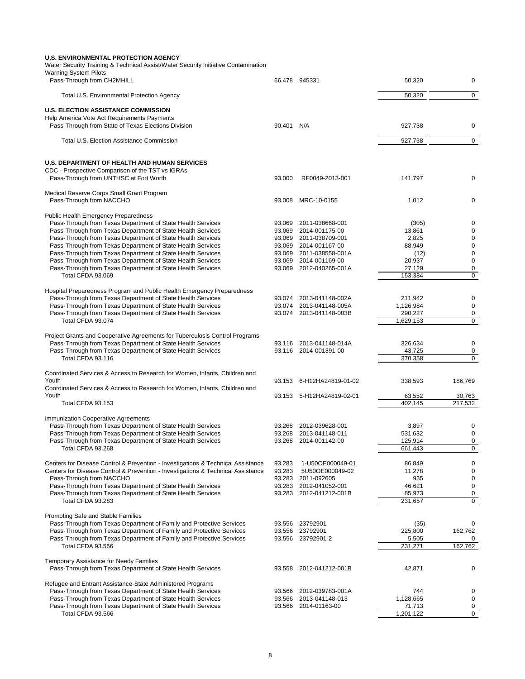| <b>U.S. ENVIRONMENTAL PROTECTION AGENCY</b><br>Water Security Training & Technical Assist/Water Security Initiative Contamination<br><b>Warning System Pilots</b> |                  |                                           |                      |                   |
|-------------------------------------------------------------------------------------------------------------------------------------------------------------------|------------------|-------------------------------------------|----------------------|-------------------|
| Pass-Through from CH2MHILL                                                                                                                                        |                  | 66.478 945331                             | 50,320               | 0                 |
| Total U.S. Environmental Protection Agency                                                                                                                        |                  |                                           | 50,320               | 0                 |
| <b>U.S. ELECTION ASSISTANCE COMMISSION</b><br>Help America Vote Act Requirements Payments                                                                         |                  |                                           |                      |                   |
| Pass-Through from State of Texas Elections Division                                                                                                               | 90.401 N/A       |                                           | 927,738              | 0                 |
| Total U.S. Election Assistance Commission                                                                                                                         |                  |                                           | 927,738              | 0                 |
| U.S. DEPARTMENT OF HEALTH AND HUMAN SERVICES                                                                                                                      |                  |                                           |                      |                   |
| CDC - Prospective Comparison of the TST vs IGRAs<br>Pass-Through from UNTHSC at Fort Worth                                                                        | 93.000           | RF0049-2013-001                           | 141,797              | 0                 |
| Medical Reserve Corps Small Grant Program<br>Pass-Through from NACCHO                                                                                             | 93.008           | MRC-10-0155                               | 1,012                | 0                 |
| Public Health Emergency Preparedness                                                                                                                              |                  |                                           |                      |                   |
| Pass-Through from Texas Department of State Health Services                                                                                                       | 93.069           | 2011-038668-001                           | (305)                | 0                 |
| Pass-Through from Texas Department of State Health Services                                                                                                       | 93.069           | 2014-001175-00                            | 13,861               | 0<br>0            |
| Pass-Through from Texas Department of State Health Services<br>Pass-Through from Texas Department of State Health Services                                        | 93.069<br>93.069 | 2011-038709-001<br>2014-001167-00         | 2,825<br>88,949      | 0                 |
| Pass-Through from Texas Department of State Health Services                                                                                                       | 93.069           | 2011-038558-001A                          | (12)                 | $\pmb{0}$         |
| Pass-Through from Texas Department of State Health Services                                                                                                       | 93.069           | 2014-001169-00                            | 20,937               | 0                 |
| Pass-Through from Texas Department of State Health Services                                                                                                       | 93.069           | 2012-040265-001A                          | 27,129               | 0                 |
| Total CFDA 93.069                                                                                                                                                 |                  |                                           | 153,384              | 0                 |
| Hospital Preparedness Program and Public Health Emergency Preparedness                                                                                            |                  |                                           |                      |                   |
| Pass-Through from Texas Department of State Health Services                                                                                                       | 93.074           | 2013-041148-002A                          | 211,942              | 0                 |
| Pass-Through from Texas Department of State Health Services                                                                                                       | 93.074           | 2013-041148-005A                          | 1,126,984            | 0                 |
| Pass-Through from Texas Department of State Health Services<br>Total CFDA 93.074                                                                                  | 93.074           | 2013-041148-003B                          | 290,227<br>1,629,153 | 0<br>0            |
|                                                                                                                                                                   |                  |                                           |                      |                   |
| Project Grants and Cooperative Agreements for Tuberculosis Control Programs                                                                                       |                  |                                           |                      |                   |
| Pass-Through from Texas Department of State Health Services<br>Pass-Through from Texas Department of State Health Services                                        | 93.116           | 2013-041148-014A<br>93.116 2014-001391-00 | 326,634<br>43,725    | 0<br>0            |
| Total CFDA 93.116                                                                                                                                                 |                  |                                           | 370,358              | 0                 |
|                                                                                                                                                                   |                  |                                           |                      |                   |
| Coordinated Services & Access to Research for Women, Infants, Children and<br>Youth                                                                               |                  | 93.153 6-H12HA24819-01-02                 | 338,593              | 186,769           |
| Coordinated Services & Access to Research for Women, Infants, Children and                                                                                        |                  |                                           |                      |                   |
| Youth<br>Total CFDA 93.153                                                                                                                                        |                  | 93.153 5-H12HA24819-02-01                 | 63,552<br>402,145    | 30,763<br>217,532 |
|                                                                                                                                                                   |                  |                                           |                      |                   |
| Immunization Cooperative Agreements<br>Pass-Through from Texas Department of State Health Services                                                                | 93.268           | 2012-039628-001                           | 3,897                | 0                 |
| Pass-Through from Texas Department of State Health Services                                                                                                       | 93.268           | 2013-041148-011                           | 531,632              | $\mathbf 0$       |
| Pass-Through from Texas Department of State Health Services                                                                                                       |                  | 93.268 2014-001142-00                     | 125,914              | 0                 |
| Total CFDA 93.268                                                                                                                                                 |                  |                                           | 661,443              | 0                 |
| Centers for Disease Control & Prevention - Investigations & Technical Assistance                                                                                  | 93.283           | 1-U50OE000049-01                          | 86,849               | 0                 |
| Centers for Disease Control & Prevention - Investigations & Technical Assistance                                                                                  | 93.283           | 5U50OE000049-02                           | 11,278               | 0                 |
| Pass-Through from NACCHO                                                                                                                                          | 93.283           | 2011-092605                               | 935                  | 0                 |
| Pass-Through from Texas Department of State Health Services                                                                                                       | 93.283           | 2012-041052-001                           | 46,621               | 0                 |
| Pass-Through from Texas Department of State Health Services<br>Total CFDA 93.283                                                                                  | 93.283           | 2012-041212-001B                          | 85,973<br>231,657    | 0<br>0            |
|                                                                                                                                                                   |                  |                                           |                      |                   |
| Promoting Safe and Stable Families                                                                                                                                |                  |                                           |                      |                   |
| Pass-Through from Texas Department of Family and Protective Services                                                                                              | 93.556           | 23792901                                  | (35)                 | 0                 |
| Pass-Through from Texas Department of Family and Protective Services<br>Pass-Through from Texas Department of Family and Protective Services                      | 93.556<br>93.556 | 23792901<br>23792901-2                    | 225,800              | 162,762<br>0      |
| Total CFDA 93.556                                                                                                                                                 |                  |                                           | 5,505<br>231,271     | 162,762           |
|                                                                                                                                                                   |                  |                                           |                      |                   |
| <b>Temporary Assistance for Needy Families</b><br>Pass-Through from Texas Department of State Health Services                                                     | 93.558           | 2012-041212-001B                          | 42,871               | 0                 |
| Refugee and Entrant Assistance-State Administered Programs                                                                                                        |                  |                                           |                      |                   |
| Pass-Through from Texas Department of State Health Services                                                                                                       | 93.566           | 2012-039783-001A                          | 744                  | 0                 |
| Pass-Through from Texas Department of State Health Services                                                                                                       | 93.566           | 2013-041148-013                           | 1,128,665            | 0                 |
| Pass-Through from Texas Department of State Health Services                                                                                                       | 93.566           | 2014-01163-00                             | 71,713               | 0                 |
| Total CFDA 93.566                                                                                                                                                 |                  |                                           | 1,201,122            | 0                 |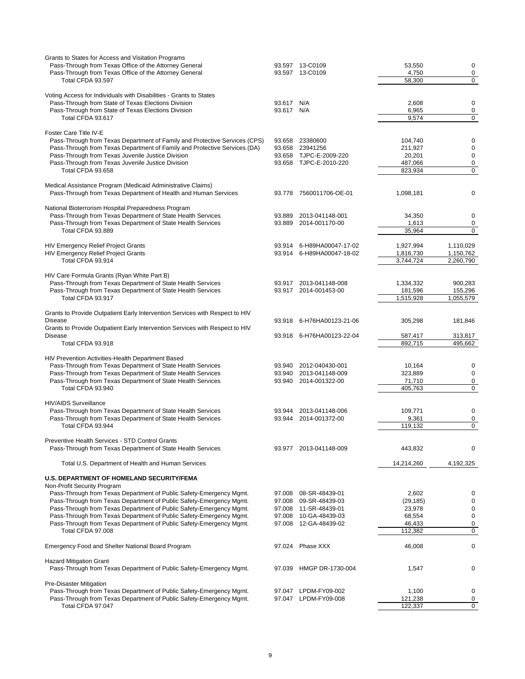| Grants to States for Access and Visitation Programs<br>Pass-Through from Texas Office of the Attorney General<br>Pass-Through from Texas Office of the Attorney General |                  | 93.597 13-C0109<br>93.597 13-C0109 | 53,550<br>4,750   | 0<br>0<br>0  |
|-------------------------------------------------------------------------------------------------------------------------------------------------------------------------|------------------|------------------------------------|-------------------|--------------|
| Total CFDA 93.597                                                                                                                                                       |                  |                                    | 58,300            |              |
| Voting Access for Individuals with Disabilities - Grants to States                                                                                                      |                  |                                    |                   |              |
| Pass-Through from State of Texas Elections Division                                                                                                                     | 93.617           | N/A                                | 2,608             | 0            |
| Pass-Through from State of Texas Elections Division                                                                                                                     | 93.617 N/A       |                                    | 6,965             | 0            |
| Total CFDA 93.617                                                                                                                                                       |                  |                                    | 9,574             | $\mathbf 0$  |
| Foster Care Title IV-E                                                                                                                                                  |                  |                                    |                   |              |
| Pass-Through from Texas Department of Family and Protective Services (CPS)                                                                                              | 93.658           | 23380600                           | 104,740           | 0            |
| Pass-Through from Texas Department of Family and Protective Services (DA)                                                                                               | 93.658           | 23941256                           | 211,927           | $\mathbf 0$  |
| Pass-Through from Texas Juvenile Justice Division                                                                                                                       |                  | 93.658 TJPC-E-2009-220             | 20,201            | 0            |
| Pass-Through from Texas Juvenile Justice Division                                                                                                                       |                  | 93.658 TJPC-E-2010-220             | 487,066           | 0            |
| Total CFDA 93.658                                                                                                                                                       |                  |                                    | 823,934           | $\mathbf 0$  |
| Medical Assistance Program (Medicaid Administrative Claims)                                                                                                             |                  |                                    |                   |              |
| Pass-Through from Texas Department of Health and Human Services                                                                                                         | 93.778           | 7560011706-OE-01                   | 1,098,181         | 0            |
| National Bioterrorism Hospital Preparedness Program                                                                                                                     |                  |                                    |                   |              |
| Pass-Through from Texas Department of State Health Services                                                                                                             | 93.889           | 2013-041148-001                    | 34,350            | 0            |
| Pass-Through from Texas Department of State Health Services                                                                                                             | 93.889           | 2014-001170-00                     | 1,613             | 0            |
| Total CFDA 93.889                                                                                                                                                       |                  |                                    | 35,964            | $\mathbf 0$  |
| <b>HIV Emergency Relief Project Grants</b>                                                                                                                              | 93.914           | 6-H89HA00047-17-02                 | 1,927,994         | 1,110,029    |
| HIV Emergency Relief Project Grants                                                                                                                                     |                  | 93.914 6-H89HA00047-18-02          | 1,816,730         | 1,150,762    |
| Total CFDA 93.914                                                                                                                                                       |                  |                                    | 3,744,724         | 2,260,790    |
|                                                                                                                                                                         |                  |                                    |                   |              |
| HIV Care Formula Grants (Ryan White Part B)<br>Pass-Through from Texas Department of State Health Services                                                              | 93.917           | 2013-041148-008                    | 1,334,332         | 900,283      |
| Pass-Through from Texas Department of State Health Services                                                                                                             | 93.917           | 2014-001453-00                     | 181,596           | 155,296      |
| Total CFDA 93.917                                                                                                                                                       |                  |                                    | 1,515,928         | 1,055,579    |
|                                                                                                                                                                         |                  |                                    |                   |              |
| Grants to Provide Outpatient Early Intervention Services with Respect to HIV                                                                                            |                  |                                    |                   |              |
| Disease                                                                                                                                                                 |                  | 93.918 6-H76HA00123-21-06          | 305,298           | 181,846      |
| Grants to Provide Outpatient Early Intervention Services with Respect to HIV<br>Disease                                                                                 |                  | 93.918 6-H76HA00123-22-04          | 587,417           | 313,817      |
| Total CFDA 93.918                                                                                                                                                       |                  |                                    | 892,715           | 495,662      |
|                                                                                                                                                                         |                  |                                    |                   |              |
| HIV Prevention Activities-Health Department Based                                                                                                                       |                  |                                    |                   |              |
| Pass-Through from Texas Department of State Health Services                                                                                                             | 93.940           | 2012-040430-001                    | 10,164            | 0            |
| Pass-Through from Texas Department of State Health Services<br>Pass-Through from Texas Department of State Health Services                                              | 93.940<br>93.940 | 2013-041148-009<br>2014-001322-00  | 323,889<br>71,710 | 0<br>0       |
| Total CFDA 93.940                                                                                                                                                       |                  |                                    | 405,763           | $\mathbf{0}$ |
|                                                                                                                                                                         |                  |                                    |                   |              |
| <b>HIV/AIDS Surveillance</b>                                                                                                                                            |                  | 2013-041148-006                    |                   | 0            |
| Pass-Through from Texas Department of State Health Services<br>Pass-Through from Texas Department of State Health Services                                              | 93.944           | 93.944 2014-001372-00              | 109,771<br>9,361  | 0            |
| Total CFDA 93.944                                                                                                                                                       |                  |                                    | 119,132           | $\mathbf{0}$ |
|                                                                                                                                                                         |                  |                                    |                   |              |
| Preventive Health Services - STD Control Grants                                                                                                                         |                  |                                    |                   |              |
| Pass-Through from Texas Department of State Health Services                                                                                                             |                  | 93.977 2013-041148-009             | 443,832           | 0            |
| Total U.S. Department of Health and Human Services                                                                                                                      |                  |                                    | 14,214,260        | 4,192,325    |
|                                                                                                                                                                         |                  |                                    |                   |              |
| <b>U.S. DEPARTMENT OF HOMELAND SECURITY/FEMA</b>                                                                                                                        |                  |                                    |                   |              |
| Non-Profit Security Program<br>Pass-Through from Texas Department of Public Safety-Emergency Mgmt.                                                                      | 97.008           | 08-SR-48439-01                     | 2,602             | 0            |
| Pass-Through from Texas Department of Public Safety-Emergency Mgmt.                                                                                                     | 97.008           | 09-SR-48439-03                     | (29, 185)         | 0            |
| Pass-Through from Texas Department of Public Safety-Emergency Mgmt.                                                                                                     | 97.008           | 11-SR-48439-01                     | 23,978            | 0            |
| Pass-Through from Texas Department of Public Safety-Emergency Mgmt.                                                                                                     | 97.008           | 10-GA-48439-03                     | 68,554            | 0            |
| Pass-Through from Texas Department of Public Safety-Emergency Mgmt.                                                                                                     | 97.008           | 12-GA-48439-02                     | 46,433            | 0            |
| Total CFDA 97.008                                                                                                                                                       |                  |                                    | 112,382           | 0            |
| Emergency Food and Shelter National Board Program                                                                                                                       | 97.024           | Phase XXX                          | 46,008            | 0            |
| <b>Hazard Mitigation Grant</b>                                                                                                                                          |                  |                                    |                   |              |
| Pass-Through from Texas Department of Public Safety-Emergency Mgmt.                                                                                                     | 97.039           | HMGP DR-1730-004                   | 1,547             | 0            |
| Pre-Disaster Mitigation                                                                                                                                                 |                  |                                    |                   |              |
| Pass-Through from Texas Department of Public Safety-Emergency Mgmt.                                                                                                     | 97.047           | LPDM-FY09-002                      | 1,100             | 0            |
| Pass-Through from Texas Department of Public Safety-Emergency Mgmt.                                                                                                     | 97.047           | LPDM-FY09-008                      | 121,238           | 0            |
| Total CFDA 97.047                                                                                                                                                       |                  |                                    | 122,337           | $\mathbf{0}$ |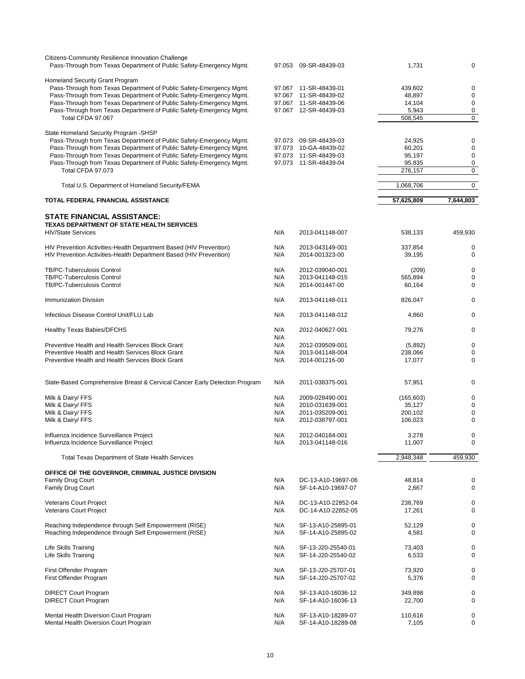| Citizens-Community Resilience Innovation Challenge<br>Pass-Through from Texas Department of Public Safety-Emergency Mgmt. |            | 97.053 09-SR-48439-03              | 1,731             | 0         |
|---------------------------------------------------------------------------------------------------------------------------|------------|------------------------------------|-------------------|-----------|
| Homeland Security Grant Program                                                                                           |            |                                    |                   |           |
| Pass-Through from Texas Department of Public Safety-Emergency Mgmt.                                                       |            | 97.067 11-SR-48439-01              | 439,602           | 0         |
| Pass-Through from Texas Department of Public Safety-Emergency Mgmt.                                                       | 97.067     | 11-SR-48439-02                     | 48,897            | 0         |
| Pass-Through from Texas Department of Public Safety-Emergency Mgmt.                                                       |            | 97.067 11-SR-48439-06              | 14,104            | 0         |
| Pass-Through from Texas Department of Public Safety-Emergency Mgmt.                                                       |            | 97.067 12-SR-48439-03              | 5,943             | 0         |
| Total CFDA 97.067                                                                                                         |            |                                    | 508.545           | 0         |
| State Homeland Security Program - SHSP                                                                                    |            |                                    |                   |           |
| Pass-Through from Texas Department of Public Safety-Emergency Mgmt.                                                       |            | 97.073 09-SR-48439-03              | 24,925            | 0         |
| Pass-Through from Texas Department of Public Safety-Emergency Mgmt.                                                       |            | 97.073 10-GA-48439-02              | 60,201            | 0         |
| Pass-Through from Texas Department of Public Safety-Emergency Mgmt.                                                       | 97.073     | 11-SR-48439-03                     | 95,197            | 0         |
| Pass-Through from Texas Department of Public Safety-Emergency Mgmt.                                                       |            | 97.073 11-SR-48439-04              | 95,835            | 0         |
| Total CFDA 97.073                                                                                                         |            |                                    | 276,157           | 0         |
| Total U.S. Department of Homeland Security/FEMA                                                                           |            |                                    | 1,068,706         | 0         |
|                                                                                                                           |            |                                    |                   |           |
| <b>TOTAL FEDERAL FINANCIAL ASSISTANCE</b>                                                                                 |            |                                    | 57,625,809        | 7,644,803 |
| <b>STATE FINANCIAL ASSISTANCE:</b>                                                                                        |            |                                    |                   |           |
| <b>TEXAS DEPARTMENT OF STATE HEALTH SERVICES</b>                                                                          |            |                                    |                   |           |
| <b>HIV/State Services</b>                                                                                                 | N/A        | 2013-041148-007                    | 538,133           | 459,930   |
| HIV Prevention Activities-Health Department Based (HIV Prevention)                                                        | N/A        | 2013-043149-001                    | 337,854           | 0         |
| HIV Prevention Activities-Health Department Based (HIV Prevention)                                                        | N/A        | 2014-001323-00                     | 39,195            | 0         |
|                                                                                                                           |            |                                    |                   |           |
| TB/PC-Tuberculosis Control                                                                                                | N/A        | 2012-039040-001                    | (209)             | 0         |
| TB/PC-Tuberculosis Control                                                                                                | N/A        | 2013-041148-015                    | 565,894           | 0         |
| <b>TB/PC-Tuberculosis Control</b>                                                                                         | N/A        | 2014-001447-00                     | 60,164            | 0         |
| <b>Immunization Division</b>                                                                                              | N/A        | 2013-041148-011                    | 826,047           | 0         |
| Infectious Disease Control Unit/FLU Lab                                                                                   | N/A        | 2013-041148-012                    | 4,860             | 0         |
| Healthy Texas Babies/DFCHS                                                                                                | N/A<br>N/A | 2012-040627-001                    | 79,276            | 0         |
| Preventive Health and Health Services Block Grant                                                                         | N/A        |                                    |                   | 0         |
|                                                                                                                           |            | 2012-039509-001                    | (5,892)           |           |
| Preventive Health and Health Services Block Grant<br>Preventive Health and Health Services Block Grant                    | N/A<br>N/A | 2013-041148-004<br>2014-001216-00  | 238,066<br>17,077 | 0<br>0    |
|                                                                                                                           |            |                                    |                   |           |
| State-Based Comprehensive Breast & Cervical Cancer Early Detection Program                                                | N/A        | 2011-038375-001                    | 57,951            | 0         |
| Milk & Dairy/ FFS                                                                                                         | N/A        | 2009-028490-001                    | (165, 603)        | 0         |
| Milk & Dairy/ FFS                                                                                                         | N/A        | 2010-031639-001                    | 35,127            | 0         |
| Milk & Dairy/ FFS                                                                                                         | N/A        | 2011-035209-001                    | 200,102           | 0         |
| Milk & Dairy/ FFS                                                                                                         | N/A        | 2012-038797-001                    | 106,023           | 0         |
|                                                                                                                           |            |                                    |                   |           |
| Influenza Incidence Surveillance Project<br>Influenza Incidence Surveillance Project                                      | N/A<br>N/A | 2012-040184-001<br>2013-041148-016 | 3,278<br>11,007   | 0<br>0    |
|                                                                                                                           |            |                                    |                   |           |
| Total Texas Department of State Health Services                                                                           |            |                                    | 2,948,348         | 459,930   |
| OFFICE OF THE GOVERNOR, CRIMINAL JUSTICE DIVISION                                                                         |            |                                    |                   |           |
| <b>Family Drug Court</b>                                                                                                  | N/A        | DC-13-A10-19697-06                 | 48,814            | 0         |
| <b>Family Drug Court</b>                                                                                                  | N/A        | SF-14-A10-19697-07                 | 2,667             | 0         |
|                                                                                                                           |            |                                    |                   |           |
| <b>Veterans Court Project</b>                                                                                             | N/A        | DC-13-A10-22852-04                 | 238,769           | 0         |
| Veterans Court Project                                                                                                    | N/A        | DC-14-A10-22852-05                 | 17,261            | 0         |
| Reaching Independence through Self Empowerment (RISE)                                                                     | N/A        | SF-13-A10-25895-01                 | 52,129            | 0         |
| Reaching Independence through Self Empowerment (RISE)                                                                     | N/A        | SF-14-A10-25895-02                 | 4,581             | 0         |
|                                                                                                                           |            |                                    |                   |           |
| Life Skills Training                                                                                                      | N/A        | SF-13-J20-25540-01                 | 73,403            | 0         |
| Life Skills Training                                                                                                      | N/A        | SF-14-J20-25540-02                 | 6,533             | 0         |
|                                                                                                                           |            |                                    |                   |           |
| First Offender Program                                                                                                    | N/A        | SF-13-J20-25707-01                 | 73,920            | 0         |
| First Offender Program                                                                                                    | N/A        | SF-14-J20-25707-02                 | 5,376             | 0         |
| <b>DIRECT Court Program</b>                                                                                               | N/A        | SF-13-A10-16036-12                 | 349,898           | 0         |
| <b>DIRECT Court Program</b>                                                                                               | N/A        | SF-14-A10-16036-13                 | 22,700            | 0         |
|                                                                                                                           |            |                                    |                   |           |
| Mental Health Diversion Court Program                                                                                     | N/A        | SF-13-A10-18289-07                 | 110,616           | 0         |
| Mental Health Diversion Court Program                                                                                     | N/A        | SF-14-A10-18289-08                 | 7,105             | 0         |
|                                                                                                                           |            |                                    |                   |           |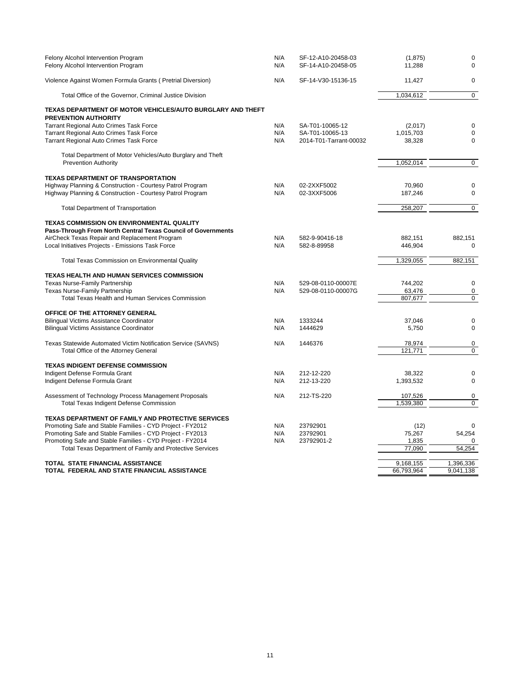| Felony Alcohol Intervention Program<br>Felony Alcohol Intervention Program                                | N/A<br>N/A | SF-12-A10-20458-03<br>SF-14-A10-20458-05 | (1,875)<br>11,288 | 0<br>$\mathbf 0$ |
|-----------------------------------------------------------------------------------------------------------|------------|------------------------------------------|-------------------|------------------|
| Violence Against Women Formula Grants (Pretrial Diversion)                                                | N/A        | SF-14-V30-15136-15                       | 11,427            | $\mathbf 0$      |
| Total Office of the Governor, Criminal Justice Division                                                   |            |                                          | 1,034,612         | $\mathbf{0}$     |
| TEXAS DEPARTMENT OF MOTOR VEHICLES/AUTO BURGLARY AND THEFT<br>PREVENTION AUTHORITY                        |            |                                          |                   |                  |
| <b>Tarrant Regional Auto Crimes Task Force</b>                                                            | N/A        | SA-T01-10065-12                          | (2,017)           | 0                |
| Tarrant Regional Auto Crimes Task Force                                                                   | N/A        | SA-T01-10065-13                          | 1,015,703         | $\mathbf 0$      |
| Tarrant Regional Auto Crimes Task Force                                                                   | N/A        | 2014-T01-Tarrant-00032                   | 38,328            | 0                |
| Total Department of Motor Vehicles/Auto Burglary and Theft<br><b>Prevention Authority</b>                 |            |                                          | 1,052,014         | $\mathbf{0}$     |
| <b>TEXAS DEPARTMENT OF TRANSPORTATION</b>                                                                 |            |                                          |                   |                  |
| Highway Planning & Construction - Courtesy Patrol Program                                                 | N/A        | 02-2XXF5002                              | 70.960            | 0                |
| Highway Planning & Construction - Courtesy Patrol Program                                                 | N/A        | 02-3XXF5006                              | 187,246           | $\mathbf 0$      |
|                                                                                                           |            |                                          |                   |                  |
| <b>Total Department of Transportation</b>                                                                 |            |                                          | 258,207           | $\mathbf{0}$     |
| TEXAS COMMISSION ON ENVIRONMENTAL QUALITY<br>Pass-Through From North Central Texas Council of Governments |            |                                          |                   |                  |
| AirCheck Texas Repair and Replacement Program                                                             | N/A        | 582-9-90416-18                           | 882,151           | 882,151          |
| Local Initiatives Projects - Emissions Task Force                                                         | N/A        | 582-8-89958                              | 446,904           | 0                |
| <b>Total Texas Commission on Environmental Quality</b>                                                    |            |                                          | 1,329,055         | 882,151          |
| TEXAS HEALTH AND HUMAN SERVICES COMMISSION                                                                |            |                                          |                   |                  |
| <b>Texas Nurse-Family Partnership</b>                                                                     | N/A        | 529-08-0110-00007E                       | 744,202           | $\mathbf 0$      |
| <b>Texas Nurse-Family Partnership</b>                                                                     | N/A        | 529-08-0110-00007G                       | 63,476            | 0                |
| <b>Total Texas Health and Human Services Commission</b>                                                   |            |                                          | 807,677           | 0                |
| OFFICE OF THE ATTORNEY GENERAL                                                                            |            |                                          |                   |                  |
| Bilingual Victims Assistance Coordinator                                                                  | N/A        | 1333244                                  | 37,046            | 0                |
| Bilingual Victims Assistance Coordinator                                                                  | N/A        | 1444629                                  | 5,750             | $\mathbf 0$      |
| Texas Statewide Automated Victim Notification Service (SAVNS)                                             | N/A        | 1446376                                  | 78,974            | 0                |
| Total Office of the Attorney General                                                                      |            |                                          | 121,771           | $\overline{0}$   |
| <b>TEXAS INDIGENT DEFENSE COMMISSION</b>                                                                  |            |                                          |                   |                  |
| Indigent Defense Formula Grant                                                                            | N/A        | 212-12-220                               | 38,322            | $\mathbf 0$      |
| Indigent Defense Formula Grant                                                                            | N/A        | 212-13-220                               | 1,393,532         | $\mathbf 0$      |
| Assessment of Technology Process Management Proposals                                                     | N/A        | 212-TS-220                               | 107,526           | $\mathbf 0$      |
| <b>Total Texas Indigent Defense Commission</b>                                                            |            |                                          | 1,539,380         | 0                |
| TEXAS DEPARTMENT OF FAMILY AND PROTECTIVE SERVICES                                                        |            |                                          |                   |                  |
| Promoting Safe and Stable Families - CYD Project - FY2012                                                 | N/A        | 23792901                                 | (12)              | 0                |
| Promoting Safe and Stable Families - CYD Project - FY2013                                                 | N/A        | 23792901                                 | 75,267            | 54,254           |
| Promoting Safe and Stable Families - CYD Project - FY2014                                                 | N/A        | 23792901-2                               | 1,835             | $\Omega$         |
| Total Texas Department of Family and Protective Services                                                  |            |                                          | 77,090            | 54,254           |
| <b>TOTAL STATE FINANCIAL ASSISTANCE</b>                                                                   |            |                                          | 9,168,155         | 1,396,336        |
| TOTAL FEDERAL AND STATE FINANCIAL ASSISTANCE                                                              |            |                                          | 66,793,964        | 9,041,138        |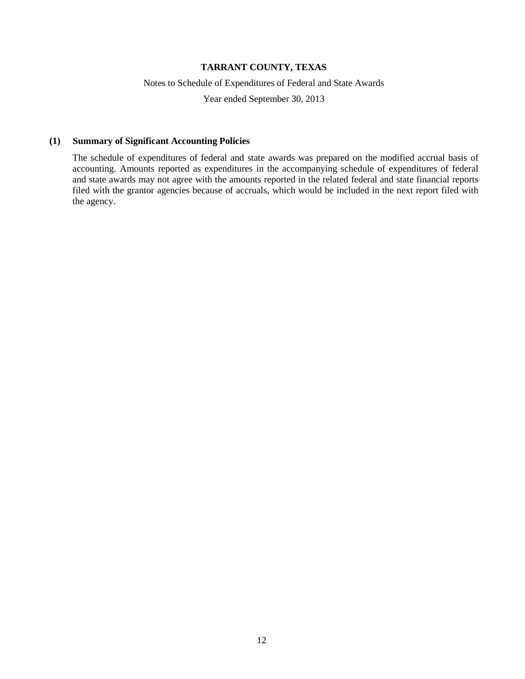#### Notes to Schedule of Expenditures of Federal and State Awards

Year ended September 30, 2013

#### **(1) Summary of Significant Accounting Policies**

The schedule of expenditures of federal and state awards was prepared on the modified accrual basis of accounting. Amounts reported as expenditures in the accompanying schedule of expenditures of federal and state awards may not agree with the amounts reported in the related federal and state financial reports filed with the grantor agencies because of accruals, which would be included in the next report filed with the agency.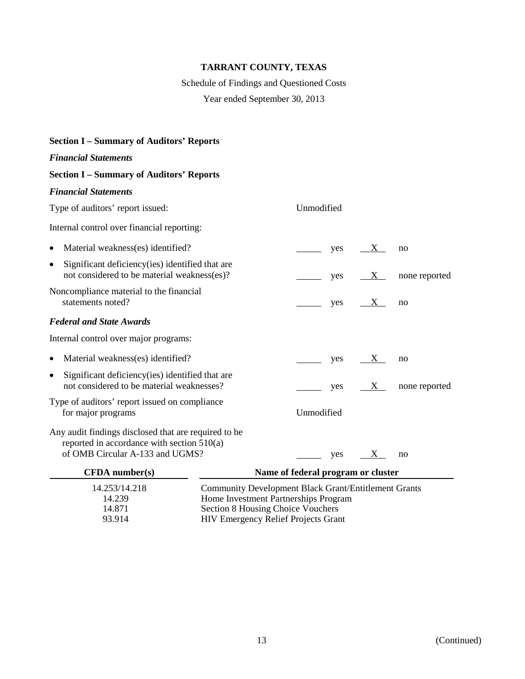Schedule of Findings and Questioned Costs

Year ended September 30, 2013

| <b>Section I – Summary of Auditors' Reports</b>                                                                                         |                                    |                                                                                                                                                                                        |   |               |
|-----------------------------------------------------------------------------------------------------------------------------------------|------------------------------------|----------------------------------------------------------------------------------------------------------------------------------------------------------------------------------------|---|---------------|
| <b>Financial Statements</b>                                                                                                             |                                    |                                                                                                                                                                                        |   |               |
| <b>Section I – Summary of Auditors' Reports</b>                                                                                         |                                    |                                                                                                                                                                                        |   |               |
| <b>Financial Statements</b>                                                                                                             |                                    |                                                                                                                                                                                        |   |               |
| Type of auditors' report issued:                                                                                                        |                                    | Unmodified                                                                                                                                                                             |   |               |
| Internal control over financial reporting:                                                                                              |                                    |                                                                                                                                                                                        |   |               |
| Material weakness(es) identified?<br>$\bullet$                                                                                          |                                    | yes                                                                                                                                                                                    | X | no            |
| Significant deficiency (ies) identified that are<br>$\bullet$<br>not considered to be material weakness(es)?                            |                                    | yes                                                                                                                                                                                    | X | none reported |
| Noncompliance material to the financial<br>statements noted?                                                                            |                                    | yes                                                                                                                                                                                    | X | no            |
| <b>Federal and State Awards</b>                                                                                                         |                                    |                                                                                                                                                                                        |   |               |
| Internal control over major programs:                                                                                                   |                                    |                                                                                                                                                                                        |   |               |
| Material weakness(es) identified?<br>$\bullet$                                                                                          |                                    | yes                                                                                                                                                                                    | X | no            |
| Significant deficiency (ies) identified that are<br>$\bullet$<br>not considered to be material weaknesses?                              |                                    | yes                                                                                                                                                                                    | X | none reported |
| Type of auditors' report issued on compliance<br>for major programs                                                                     |                                    | Unmodified                                                                                                                                                                             |   |               |
| Any audit findings disclosed that are required to be<br>reported in accordance with section $510(a)$<br>of OMB Circular A-133 and UGMS? |                                    | yes                                                                                                                                                                                    | X | no            |
| <b>CFDA</b> number(s)                                                                                                                   | Name of federal program or cluster |                                                                                                                                                                                        |   |               |
| 14.253/14.218<br>14.239<br>14.871<br>93.914                                                                                             |                                    | <b>Community Development Black Grant/Entitlement Grants</b><br>Home Investment Partnerships Program<br>Section 8 Housing Choice Vouchers<br><b>HIV Emergency Relief Projects Grant</b> |   |               |

HIV Emergency Relief Projects Grant